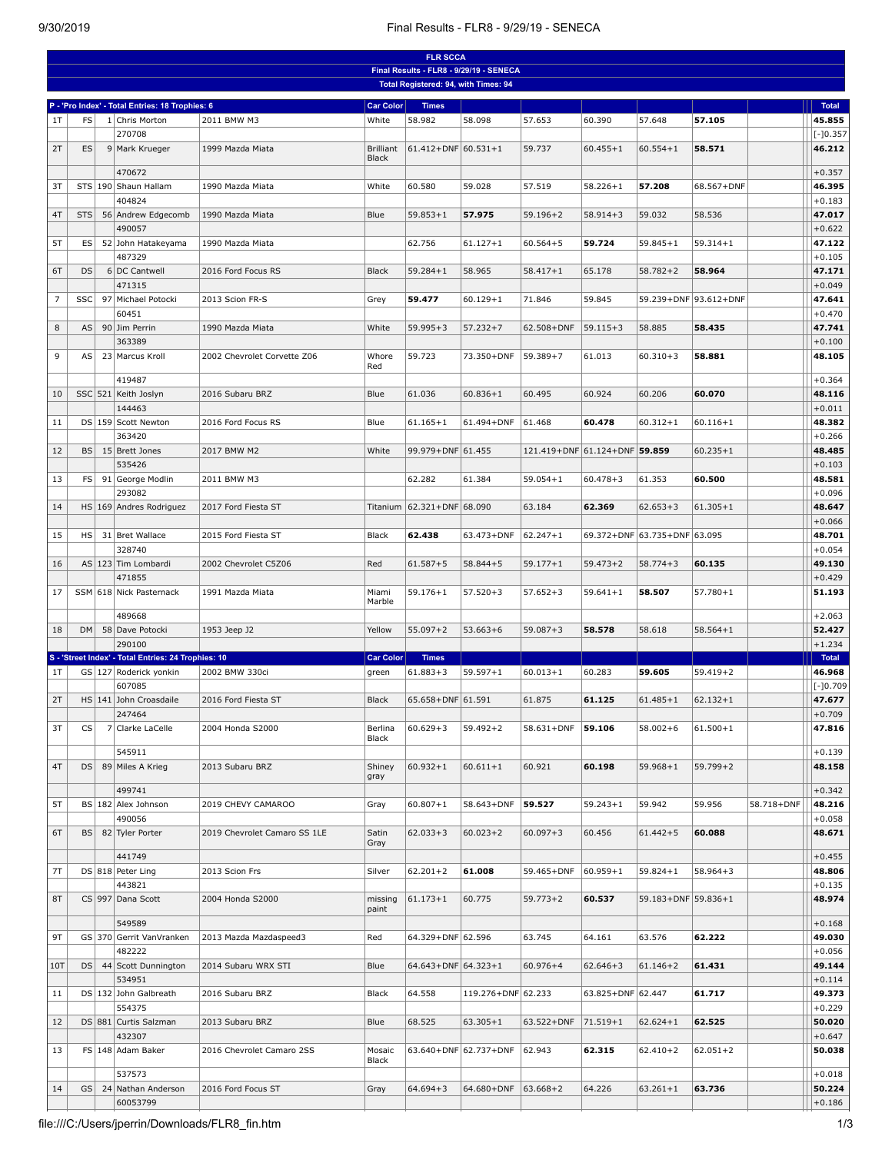## 9/30/2019 Final Results - FLR8 - 9/29/19 - SENECA

|                | <b>FLR SCCA</b> |  |                                                               |                              |                  |                                      |                                         |                               |                   |                              |                       |            |                    |
|----------------|-----------------|--|---------------------------------------------------------------|------------------------------|------------------|--------------------------------------|-----------------------------------------|-------------------------------|-------------------|------------------------------|-----------------------|------------|--------------------|
|                |                 |  |                                                               |                              |                  |                                      | Final Results - FLR8 - 9/29/19 - SENECA |                               |                   |                              |                       |            |                    |
|                |                 |  |                                                               |                              |                  | Total Registered: 94, with Times: 94 |                                         |                               |                   |                              |                       |            |                    |
|                |                 |  | P - 'Pro Index' - Total Entries: 18 Trophies: 6               |                              | <b>Car Color</b> | <b>Times</b>                         |                                         |                               |                   |                              |                       |            | Total              |
| 1T             | FS              |  | 1 Chris Morton                                                | 2011 BMW M3                  | White            | 58.982                               | 58.098                                  | 57.653                        | 60.390            | 57.648                       | 57.105                |            | 45.855             |
|                |                 |  | 270708                                                        |                              |                  |                                      |                                         |                               |                   |                              |                       |            | $ [-]0.357$        |
| 2T             | ES              |  | 9 Mark Krueger                                                | 1999 Mazda Miata             | <b>Brilliant</b> | $61.412 + DNF$ 60.531+1              |                                         | 59.737                        | $60.455 + 1$      | $60.554 + 1$                 | 58.571                |            | 46.212             |
|                |                 |  | 470672                                                        |                              | <b>Black</b>     |                                      |                                         |                               |                   |                              |                       |            |                    |
| 3T             |                 |  | STS 190 Shaun Hallam                                          | 1990 Mazda Miata             | White            | 60.580                               | 59.028                                  | 57.519                        | $58.226 + 1$      | 57.208                       | 68.567+DNF            |            | $+0.357$<br>46.395 |
|                |                 |  | 404824                                                        |                              |                  |                                      |                                         |                               |                   |                              |                       |            | $+0.183$           |
| 4T             | STS             |  | 56 Andrew Edgecomb                                            | 1990 Mazda Miata             | Blue             | $59.853 + 1$                         | 57.975                                  | $59.196 + 2$                  | $58.914 + 3$      | 59.032                       | 58.536                |            | 47.017             |
|                |                 |  | 490057                                                        |                              |                  |                                      |                                         |                               |                   |                              |                       |            | $+0.622$           |
| 5T             | ES              |  | 52 John Hatakeyama                                            | 1990 Mazda Miata             |                  | 62.756                               | $61.127 + 1$                            | $60.564 + 5$                  | 59.724            | $59.845 + 1$                 | $59.314 + 1$          |            | 47.122             |
|                |                 |  | 487329                                                        |                              |                  |                                      |                                         |                               |                   |                              |                       |            | $+0.105$           |
| 6T             | DS              |  | 6 DC Cantwell                                                 | 2016 Ford Focus RS           | <b>Black</b>     | $59.284 + 1$                         | 58.965                                  | $58.417 + 1$                  | 65.178            | $58.782 + 2$                 | 58.964                |            | 47.171             |
|                |                 |  | 471315                                                        |                              |                  |                                      |                                         |                               |                   |                              |                       |            | $+0.049$           |
| $\overline{7}$ | SSC             |  | 97 Michael Potocki                                            | 2013 Scion FR-S              | Grey             | 59.477                               | $60.129 + 1$                            | 71.846                        | 59.845            |                              | 59.239+DNF 93.612+DNF |            | 47.641             |
|                |                 |  | 60451                                                         |                              |                  |                                      |                                         |                               |                   |                              |                       |            | $+0.470$           |
| 8              | AS              |  | 90 Jim Perrin                                                 | 1990 Mazda Miata             | White            | $59.995 + 3$                         | $57.232 + 7$                            | 62.508+DNF                    | $59.115 + 3$      | 58.885                       | 58.435                |            | 47.741             |
|                |                 |  | 363389                                                        |                              |                  |                                      |                                         |                               |                   |                              |                       |            | $+0.100$           |
| 9              | AS              |  | 23 Marcus Kroll                                               | 2002 Chevrolet Corvette Z06  | Whore<br>Red     | 59.723                               | 73.350+DNF                              | 59.389+7                      | 61.013            | $60.310 + 3$                 | 58.881                |            | 48.105             |
|                |                 |  | 419487                                                        |                              |                  |                                      |                                         |                               |                   |                              |                       |            | $+0.364$           |
| 10             |                 |  | SSC 521 Keith Joslyn                                          | 2016 Subaru BRZ              | Blue             | 61.036                               | $60.836 + 1$                            | 60.495                        | 60.924            | 60.206                       | 60.070                |            | 48.116             |
|                |                 |  | 144463                                                        |                              |                  |                                      |                                         |                               |                   |                              |                       |            | $+0.011$           |
| 11             |                 |  | DS 159 Scott Newton                                           | 2016 Ford Focus RS           | Blue             | $61.165 + 1$                         | 61.494+DNF                              | 61.468                        | 60.478            | $60.312 + 1$                 | $60.116 + 1$          |            | 48.382             |
|                |                 |  | 363420                                                        |                              |                  |                                      |                                         |                               |                   |                              |                       |            | $+0.266$           |
| 12             | BS              |  | 15 Brett Jones                                                | 2017 BMW M2                  | White            | 99.979+DNF 61.455                    |                                         | 121.419+DNF 61.124+DNF 59.859 |                   |                              | $60.235 + 1$          |            | 48.485             |
|                |                 |  | 535426                                                        |                              |                  |                                      |                                         |                               |                   |                              |                       |            | $+0.103$           |
| 13             | FS              |  | 91 George Modlin                                              | 2011 BMW M3                  |                  | 62.282                               | 61.384                                  | $59.054 + 1$                  | $60.478 + 3$      | 61.353                       | 60.500                |            | 48.581             |
|                |                 |  | 293082                                                        |                              |                  |                                      |                                         |                               |                   |                              |                       |            | $+0.096$           |
| 14             |                 |  | HS 169 Andres Rodriguez                                       | 2017 Ford Fiesta ST          | Titanium         | 62.321+DNF 68.090                    |                                         | 63.184                        | 62.369            | $62.653 + 3$                 | $61.305 + 1$          |            | 48.647             |
| 15             | HS              |  | 31 Bret Wallace                                               | 2015 Ford Fiesta ST          | Black            | 62.438                               | 63.473+DNF                              | $62.247 + 1$                  |                   | 69.372+DNF 63.735+DNF 63.095 |                       |            | $+0.066$<br>48.701 |
|                |                 |  | 328740                                                        |                              |                  |                                      |                                         |                               |                   |                              |                       |            | $+0.054$           |
| 16             |                 |  | AS   123   Tim Lombardi                                       | 2002 Chevrolet C5Z06         | Red              | $61.587 + 5$                         | $58.844 + 5$                            | $59.177 + 1$                  | $59.473 + 2$      | $58.774 + 3$                 | 60.135                |            | 49.130             |
|                |                 |  | 471855                                                        |                              |                  |                                      |                                         |                               |                   |                              |                       |            | $+0.429$           |
| 17             |                 |  | SSM 618 Nick Pasternack                                       | 1991 Mazda Miata             | Miami            | $59.176 + 1$                         | $57.520 + 3$                            | $57.652 + 3$                  | $59.641 + 1$      | 58.507                       | $57.780 + 1$          |            | 51.193             |
|                |                 |  |                                                               |                              | Marble           |                                      |                                         |                               |                   |                              |                       |            |                    |
|                |                 |  | 489668                                                        |                              |                  |                                      |                                         |                               |                   |                              |                       |            | $+2.063$           |
| 18             | DM              |  | 58 Dave Potocki                                               | 1953 Jeep J2                 | Yellow           | $55.097 + 2$                         | $53.663 + 6$                            | $59.087 + 3$                  | 58.578            | 58.618                       | $58.564 + 1$          |            | 52.427             |
|                |                 |  | 290100<br>S - 'Street Index' - Total Entries: 24 Trophies: 10 |                              | <b>Car Color</b> | <b>Times</b>                         |                                         |                               |                   |                              |                       |            | $+1.234$<br>Total  |
| 1T             |                 |  | GS   127 Roderick yonkin                                      | 2002 BMW 330ci               | green            | $61.883 + 3$                         | $59.597 + 1$                            | $60.013 + 1$                  | 60.283            | 59.605                       | $59.419 + 2$          |            | 46.968             |
|                |                 |  | 607085                                                        |                              |                  |                                      |                                         |                               |                   |                              |                       |            | $ [-]0.709$        |
| 2T             |                 |  | HS 141 John Croasdaile                                        | 2016 Ford Fiesta ST          | <b>Black</b>     | 65.658+DNF 61.591                    |                                         | 61.875                        | 61.125            | $61.485 + 1$                 | $62.132 + 1$          |            | 47.677             |
|                |                 |  | 247464                                                        |                              |                  |                                      |                                         |                               |                   |                              |                       |            | $+0.709$           |
| 3T             | CS              |  | 7 Clarke LaCelle                                              | 2004 Honda S2000             | Berlina          | $60.629 + 3$                         | $59.492 + 2$                            | $58.631 + DNF$                | 59.106            | $58.002 + 6$                 | $61.500 + 1$          |            | 47.816             |
|                |                 |  |                                                               |                              | Black            |                                      |                                         |                               |                   |                              |                       |            |                    |
|                |                 |  | 545911                                                        |                              |                  | $60.932 + 1$                         |                                         |                               |                   |                              |                       |            | $+0.139$           |
| 4T             | DS <sub>1</sub> |  | 89 Miles A Krieg                                              | 2013 Subaru BRZ              | Shiney<br>gray   |                                      | $60.611 + 1$                            | 60.921                        | 60.198            | $59.968 + 1$                 | $59.799 + 2$          |            | 48.158             |
|                |                 |  | 499741                                                        |                              |                  |                                      |                                         |                               |                   |                              |                       |            | $+0.342$           |
| 5T             |                 |  | BS 182 Alex Johnson                                           | 2019 CHEVY CAMAROO           | Gray             | $60.807 + 1$                         | 58.643+DNF                              | 59.527                        | $59.243 + 1$      | 59.942                       | 59.956                | 58.718+DNF | 48.216             |
|                |                 |  | 490056                                                        |                              |                  |                                      |                                         |                               |                   |                              |                       |            | $+0.058$           |
| 6T             | BS              |  | 82 Tyler Porter                                               | 2019 Chevrolet Camaro SS 1LE | Satin            | $62.033 + 3$                         | $60.023 + 2$                            | $60.097 + 3$                  | 60.456            | $61.442 + 5$                 | 60.088                |            | 48.671             |
|                |                 |  | 441749                                                        |                              | Gray             |                                      |                                         |                               |                   |                              |                       |            | $+0.455$           |
| 7T             |                 |  | DS 818 Peter Ling                                             | 2013 Scion Frs               | Silver           | $62.201 + 2$                         | 61.008                                  | 59.465+DNF                    | $60.959 + 1$      | $59.824 + 1$                 | $58.964 + 3$          |            | 48.806             |
|                |                 |  | 443821                                                        |                              |                  |                                      |                                         |                               |                   |                              |                       |            | $+0.135$           |
| 8T             |                 |  | CS 997 Dana Scott                                             | 2004 Honda S2000             | missing          | $61.173 + 1$                         | 60.775                                  | $59.773 + 2$                  | 60.537            | 59.183+DNF 59.836+1          |                       |            | 48.974             |
|                |                 |  |                                                               |                              | paint            |                                      |                                         |                               |                   |                              |                       |            |                    |
|                |                 |  | 549589                                                        |                              |                  |                                      |                                         |                               |                   |                              |                       |            | $+0.168$           |
| 9T             |                 |  | GS 370 Gerrit VanVranken                                      | 2013 Mazda Mazdaspeed3       | Red              | 64.329+DNF 62.596                    |                                         | 63.745                        | 64.161            | 63.576                       | 62.222                |            | 49.030             |
|                |                 |  | 482222                                                        |                              |                  |                                      |                                         |                               |                   |                              |                       |            | $+0.056$           |
| 10T            | DS              |  | 44 Scott Dunnington                                           | 2014 Subaru WRX STI          | Blue             | 64.643+DNF 64.323+1                  |                                         | $60.976 + 4$                  | $62.646 + 3$      | $61.146 + 2$                 | 61.431                |            | 49.144             |
|                |                 |  | 534951                                                        |                              |                  |                                      |                                         |                               |                   |                              |                       |            | $+0.114$           |
| 11             |                 |  | DS 132 John Galbreath<br>554375                               | 2016 Subaru BRZ              | Black            | 64.558                               | 119.276+DNF 62.233                      |                               | 63.825+DNF 62.447 |                              | 61.717                |            | 49.373<br>$+0.229$ |
| 12             |                 |  | DS 881 Curtis Salzman                                         | 2013 Subaru BRZ              | Blue             | 68.525                               | $63.305 + 1$                            | 63.522+DNF                    | $71.519 + 1$      | $62.624 + 1$                 | 62.525                |            | 50.020             |
|                |                 |  | 432307                                                        |                              |                  |                                      |                                         |                               |                   |                              |                       |            | $+0.647$           |
| 13             |                 |  | FS   148   Adam Baker                                         | 2016 Chevrolet Camaro 2SS    | Mosaic           |                                      | 63.640+DNF 62.737+DNF                   | 62.943                        | 62.315            | $62.410 + 2$                 | $62.051 + 2$          |            | 50.038             |
|                |                 |  |                                                               |                              | Black            |                                      |                                         |                               |                   |                              |                       |            |                    |
|                |                 |  | 537573                                                        |                              |                  |                                      |                                         |                               |                   |                              |                       |            | $+0.018$           |
| 14             | GS              |  | 24 Nathan Anderson                                            | 2016 Ford Focus ST           | Gray             | $64.694 + 3$                         | 64.680+DNF                              | 63.668+2                      | 64.226            | $63.261 + 1$                 | 63.736                |            | 50.224             |
|                |                 |  | 60053799                                                      |                              |                  |                                      |                                         |                               |                   |                              |                       |            | $+0.186$           |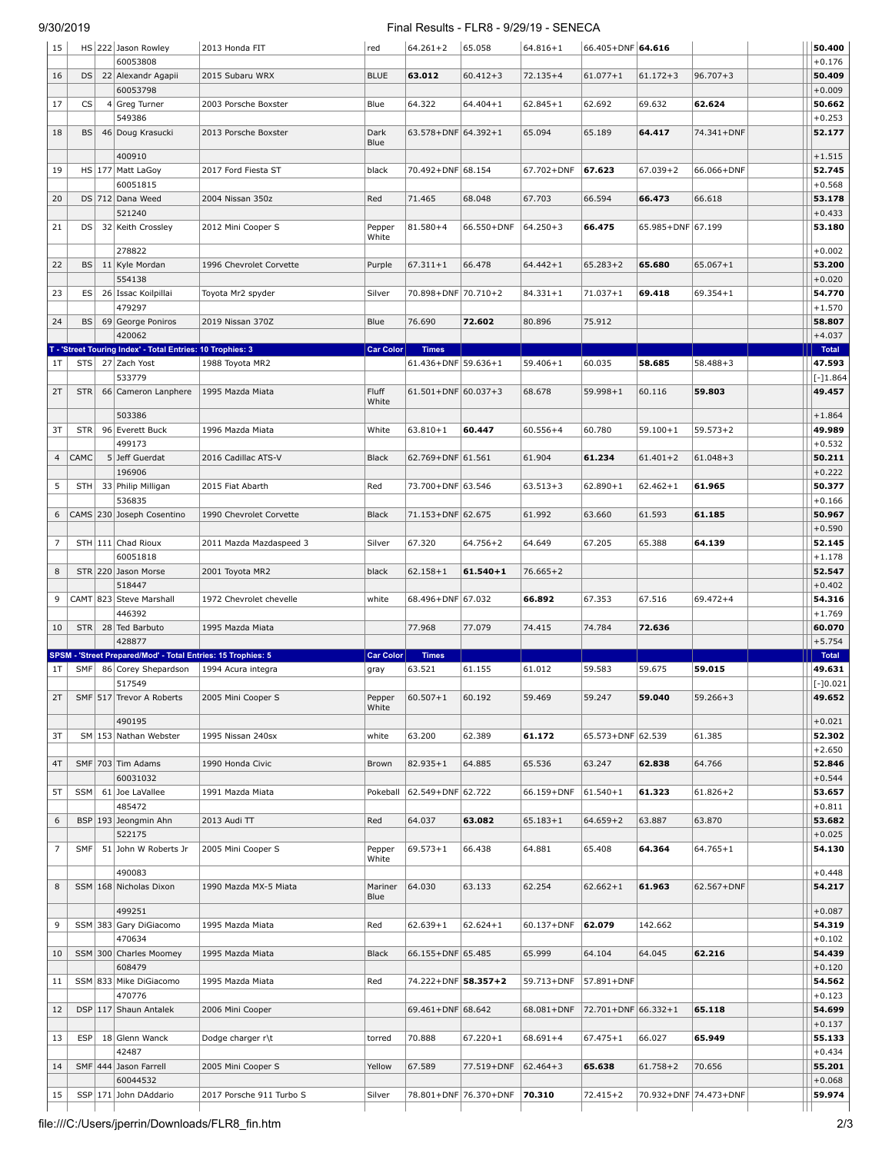## 9/30/2019 Final Results - FLR8 - 9/29/19 - SENECA

| 15             |            | HS 222 Jason Rowley<br>60053808                                                     | 2013 Honda FIT           | red                      | $64.261 + 2$            | 65.058                | $64.816 + 1$ | 66.405+DNF 64.616   |                   |                       | 50.400                |
|----------------|------------|-------------------------------------------------------------------------------------|--------------------------|--------------------------|-------------------------|-----------------------|--------------|---------------------|-------------------|-----------------------|-----------------------|
| 16             | DS         | 22 Alexandr Agapii                                                                  | 2015 Subaru WRX          | <b>BLUE</b>              | 63.012                  | $60.412 + 3$          | $72.135 + 4$ | $61.077 + 1$        | $61.172 + 3$      | $96.707 + 3$          | $+0.176$<br>50.409    |
| 17             | CS         | 60053798<br>4 Greg Turner                                                           | 2003 Porsche Boxster     | Blue                     | 64.322                  | $64.404 + 1$          | $62.845 + 1$ | 62.692              | 69.632            | 62.624                | $+0.009$<br>50.662    |
| 18             | BS         | 549386<br>46 Doug Krasucki                                                          | 2013 Porsche Boxster     | Dark                     | 63.578+DNF 64.392+1     |                       | 65.094       | 65.189              | 64.417            | 74.341+DNF            | $+0.253$<br>52.177    |
|                |            |                                                                                     |                          | Blue                     |                         |                       |              |                     |                   |                       |                       |
| 19             |            | 400910<br>HS   177   Matt LaGoy                                                     | 2017 Ford Fiesta ST      | black                    | 70.492+DNF 68.154       |                       | 67.702+DNF   | 67.623              | $67.039 + 2$      | 66.066+DNF            | $+1.515$<br>52.745    |
| 20             |            | 60051815<br>DS 712 Dana Weed                                                        | 2004 Nissan 350z         | Red                      | 71.465                  | 68.048                | 67.703       | 66.594              | 66.473            | 66.618                | $+0.568$<br>53.178    |
|                |            | 521240                                                                              |                          |                          |                         |                       |              |                     |                   |                       | $+0.433$              |
| 21             | DS         | 32 Keith Crossley                                                                   | 2012 Mini Cooper S       | Pepper<br>White          | 81.580+4                | 66.550+DNF            | $64.250 + 3$ | 66.475              | 65.985+DNF 67.199 |                       | 53.180                |
| 22             | BS         | 278822<br>11 Kyle Mordan                                                            | 1996 Chevrolet Corvette  | Purple                   | $67.311 + 1$            | 66.478                | $64.442 + 1$ | $65.283 + 2$        | 65.680            | $65.067 + 1$          | $+0.002$<br>53.200    |
|                |            | 554138                                                                              |                          |                          |                         |                       |              |                     |                   |                       | $+0.020$              |
| 23             | ES         | 26 Issac Koilpillai<br>479297                                                       | Toyota Mr2 spyder        | Silver                   | 70.898+DNF 70.710+2     |                       | $84.331 + 1$ | $71.037 + 1$        | 69.418            | $69.354 + 1$          | 54.770<br>$+1.570$    |
| 24             | BS         | 69 George Poniros                                                                   | 2019 Nissan 370Z         | Blue                     | 76.690                  | 72.602                | 80.896       | 75.912              |                   |                       | 58.807                |
|                |            | 420062<br>T - 'Street Touring Index' - Total Entries: 10 Trophies: 3                |                          | <b>Car Color</b>         | <b>Times</b>            |                       |              |                     |                   |                       | $+4.037$<br>Total     |
| 1T             | STS        | 27 Zach Yost<br>533779                                                              | 1988 Toyota MR2          |                          | 61.436+DNF 59.636+1     |                       | $59.406 + 1$ | 60.035              | 58.685            | $58.488 + 3$          | 47.593<br>$[-]1.864$  |
| 2T             | STR        | 66 Cameron Lanphere                                                                 | 1995 Mazda Miata         | Fluff<br>White           | $61.501 + DNF$ 60.037+3 |                       | 68.678       | $59.998 + 1$        | 60.116            | 59.803                | 49.457                |
|                |            | 503386                                                                              |                          |                          |                         |                       |              |                     |                   |                       | $+1.864$              |
| 3T             | STR        | 96 Everett Buck<br>499173                                                           | 1996 Mazda Miata         | White                    | $63.810 + 1$            | 60.447                | $60.556 + 4$ | 60.780              | $59.100 + 1$      | $59.573 + 2$          | 49.989<br>$+0.532$    |
| $\overline{4}$ | CAMC       | 5 Jeff Guerdat<br>196906                                                            | 2016 Cadillac ATS-V      | <b>Black</b>             | 62.769+DNF 61.561       |                       | 61.904       | 61.234              | $61.401 + 2$      | $61.048 + 3$          | 50.211<br>$+0.222$    |
| 5              | STH        | 33 Philip Milligan                                                                  | 2015 Fiat Abarth         | Red                      | 73.700+DNF 63.546       |                       | $63.513 + 3$ | $62.890 + 1$        | $62.462 + 1$      | 61.965                | 50.377                |
| 6              |            | 536835<br>CAMS 230 Joseph Cosentino                                                 | 1990 Chevrolet Corvette  | <b>Black</b>             | 71.153+DNF 62.675       |                       | 61.992       | 63.660              | 61.593            | 61.185                | $+0.166$<br>50.967    |
|                |            |                                                                                     |                          |                          |                         |                       |              |                     |                   |                       | $+0.590$              |
| 7              |            | STH 111 Chad Rioux<br>60051818                                                      | 2011 Mazda Mazdaspeed 3  | Silver                   | 67.320                  | $64.756 + 2$          | 64.649       | 67.205              | 65.388            | 64.139                | 52.145<br>$+1.178$    |
| 8              |            | STR 220 Jason Morse<br>518447                                                       | 2001 Toyota MR2          | black                    | $62.158 + 1$            | $61.540 + 1$          | $76.665 + 2$ |                     |                   |                       | 52.547<br>$+0.402$    |
| 9              |            | CAMT 823 Steve Marshall                                                             | 1972 Chevrolet chevelle  | white                    | 68.496+DNF 67.032       |                       | 66.892       | 67.353              | 67.516            | $69.472 + 4$          | 54.316                |
| 10             | STR        | 446392<br>28 Ted Barbuto                                                            | 1995 Mazda Miata         |                          | 77.968                  | 77.079                | 74.415       | 74.784              | 72.636            |                       | $+1.769$<br>60.070    |
|                |            | 428877                                                                              |                          |                          |                         |                       |              |                     |                   |                       | $+5.754$              |
| 1T             | <b>SMF</b> | SPSM - 'Street Prepared/Mod' - Total Entries: 15 Trophies: 5<br>86 Corey Shepardson | 1994 Acura integra       | <b>Car Color</b><br>gray | <b>Times</b><br>63.521  | 61.155                | 61.012       | 59.583              | 59.675            | 59.015                | Total<br>49.631       |
| 2T             |            | 517549<br>SMF 517 Trevor A Roberts                                                  | 2005 Mini Cooper S       | Pepper                   | $ 60.507+1 $            | 60.192                | 59.469       | 59.247              | 59.040            | $59.266 + 3$          | $ [-]0.021$<br>49.652 |
|                |            | 490195                                                                              |                          | White                    |                         |                       |              |                     |                   |                       | $+0.021$              |
| 3T             |            | SM   153 Nathan Webster                                                             | 1995 Nissan 240sx        | white                    | 63.200                  | 62.389                | 61.172       | 65.573+DNF 62.539   |                   | 61.385                | 52.302                |
| 4T             |            | SMF 703 Tim Adams                                                                   | 1990 Honda Civic         | Brown                    | $82.935 + 1$            | 64.885                | 65.536       | 63.247              | 62.838            | 64.766                | $+2.650$<br>52.846    |
|                |            | 60031032                                                                            |                          |                          |                         |                       |              |                     |                   |                       | $+0.544$              |
| 5T             | <b>SSM</b> | 61 Joe LaVallee<br>485472                                                           | 1991 Mazda Miata         | Pokeball                 | 62.549+DNF 62.722       |                       | 66.159+DNF   | $61.540 + 1$        | 61.323            | $61.826 + 2$          | 53.657<br>$+0.811$    |
| 6              |            | BSP   193   Jeongmin Ahn                                                            | 2013 Audi TT             | Red                      | 64.037                  | 63.082                | $65.183 + 1$ | $64.659 + 2$        | 63.887            | 63.870                | 53.682                |
| 7              | SMF        | 522175<br>51 John W Roberts Jr                                                      | 2005 Mini Cooper S       | Pepper                   | $69.573 + 1$            | 66.438                | 64.881       | 65.408              | 64.364            | 64.765+1              | $+0.025$<br>54.130    |
|                |            | 490083                                                                              |                          | White                    |                         |                       |              |                     |                   |                       | $+0.448$              |
| 8              |            | SSM   168   Nicholas Dixon                                                          | 1990 Mazda MX-5 Miata    | Mariner<br>Blue          | 64.030                  | 63.133                | 62.254       | $62.662 + 1$        | 61.963            | 62.567+DNF            | 54.217                |
| 9              |            | 499251<br>SSM 383 Gary DiGiacomo                                                    | 1995 Mazda Miata         | Red                      | $62.639 + 1$            | $62.624 + 1$          | 60.137+DNF   | 62.079              | 142.662           |                       | $+0.087$<br>54.319    |
|                |            | 470634                                                                              |                          |                          |                         |                       |              |                     |                   |                       | $+0.102$              |
| 10             |            | SSM 300 Charles Moomey<br>608479                                                    | 1995 Mazda Miata         | Black                    | 66.155+DNF 65.485       |                       | 65.999       | 64.104              | 64.045            | 62.216                | 54.439<br>$+0.120$    |
| 11             |            | SSM 833 Mike DiGiacomo                                                              | 1995 Mazda Miata         | Red                      | 74.222+DNF 58.357+2     |                       | 59.713+DNF   | 57.891+DNF          |                   |                       | 54.562                |
| 12             |            | 470776<br>DSP 117 Shaun Antalek                                                     | 2006 Mini Cooper         |                          | 69.461+DNF 68.642       |                       | 68.081+DNF   | 72.701+DNF 66.332+1 |                   | 65.118                | $+0.123$<br>54.699    |
|                | <b>ESP</b> |                                                                                     |                          |                          | 70.888                  |                       |              |                     |                   |                       | $+0.137$<br>55.133    |
| 13             |            | 18 Glenn Wanck<br>42487                                                             | Dodge charger r\t        | torred                   |                         | $67.220 + 1$          | $68.691 + 4$ | $67.475 + 1$        | 66.027            | 65.949                | $+0.434$              |
| 14             |            | SMF 444 Jason Farrell<br>60044532                                                   | 2005 Mini Cooper S       | Yellow                   | 67.589                  | 77.519+DNF            | $62.464 + 3$ | 65.638              | $61.758 + 2$      | 70.656                | 55.201<br>$+0.068$    |
| 15             |            | SSP 171 John DAddario                                                               | 2017 Porsche 911 Turbo S | Silver                   |                         | 78.801+DNF 76.370+DNF | 70.310       | $72.415 + 2$        |                   | 70.932+DNF 74.473+DNF | 59.974                |
|                |            |                                                                                     |                          |                          |                         |                       |              |                     |                   |                       |                       |

file:///C:/Users/jperrin/Downloads/FLR8\_fin.htm 2/3